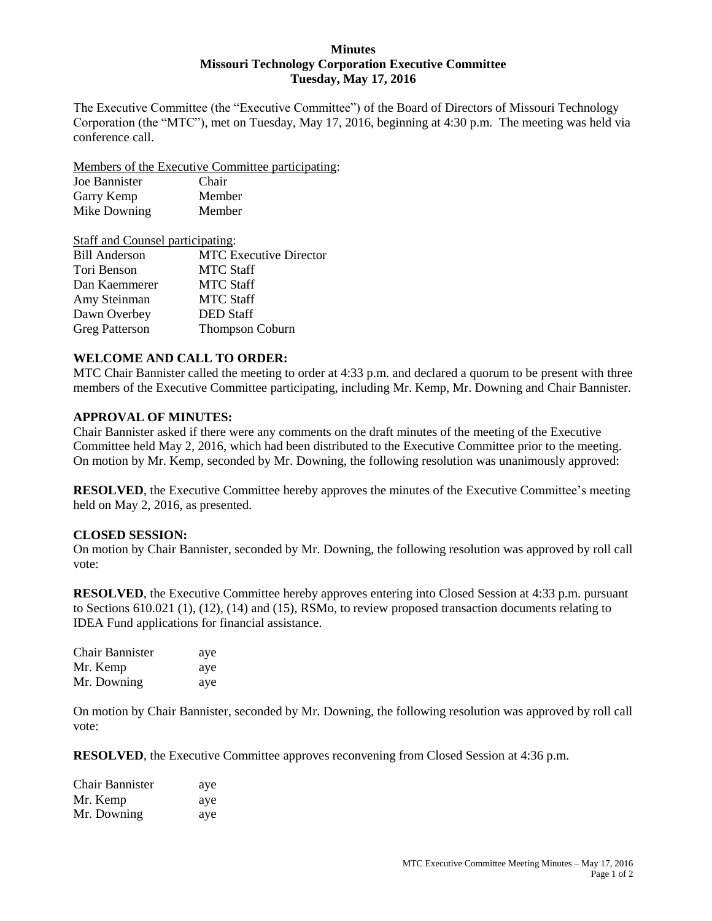### **Minutes Missouri Technology Corporation Executive Committee Tuesday, May 17, 2016**

The Executive Committee (the "Executive Committee") of the Board of Directors of Missouri Technology Corporation (the "MTC"), met on Tuesday, May 17, 2016, beginning at 4:30 p.m. The meeting was held via conference call.

Members of the Executive Committee participating:

| Joe Bannister | Chair  |
|---------------|--------|
| Garry Kemp    | Member |
| Mike Downing  | Member |

| Staff and Counsel participating: |                               |
|----------------------------------|-------------------------------|
| <b>Bill Anderson</b>             | <b>MTC</b> Executive Director |
| Tori Benson                      | <b>MTC Staff</b>              |
| Dan Kaemmerer                    | <b>MTC Staff</b>              |
| Amy Steinman                     | <b>MTC Staff</b>              |
| Dawn Overbey                     | <b>DED</b> Staff              |
| <b>Greg Patterson</b>            | <b>Thompson Coburn</b>        |

# **WELCOME AND CALL TO ORDER:**

MTC Chair Bannister called the meeting to order at 4:33 p.m. and declared a quorum to be present with three members of the Executive Committee participating, including Mr. Kemp, Mr. Downing and Chair Bannister.

#### **APPROVAL OF MINUTES:**

Chair Bannister asked if there were any comments on the draft minutes of the meeting of the Executive Committee held May 2, 2016, which had been distributed to the Executive Committee prior to the meeting. On motion by Mr. Kemp, seconded by Mr. Downing, the following resolution was unanimously approved:

**RESOLVED**, the Executive Committee hereby approves the minutes of the Executive Committee's meeting held on May 2, 2016, as presented.

## **CLOSED SESSION:**

On motion by Chair Bannister, seconded by Mr. Downing, the following resolution was approved by roll call vote:

**RESOLVED**, the Executive Committee hereby approves entering into Closed Session at 4:33 p.m. pursuant to Sections 610.021 (1), (12), (14) and (15), RSMo, to review proposed transaction documents relating to IDEA Fund applications for financial assistance.

| <b>Chair Bannister</b> | aye |
|------------------------|-----|
| Mr. Kemp               | aye |
| Mr. Downing            | aye |

On motion by Chair Bannister, seconded by Mr. Downing, the following resolution was approved by roll call vote:

**RESOLVED**, the Executive Committee approves reconvening from Closed Session at 4:36 p.m.

| <b>Chair Bannister</b> | aye |
|------------------------|-----|
| Mr. Kemp               | aye |
| Mr. Downing            | aye |